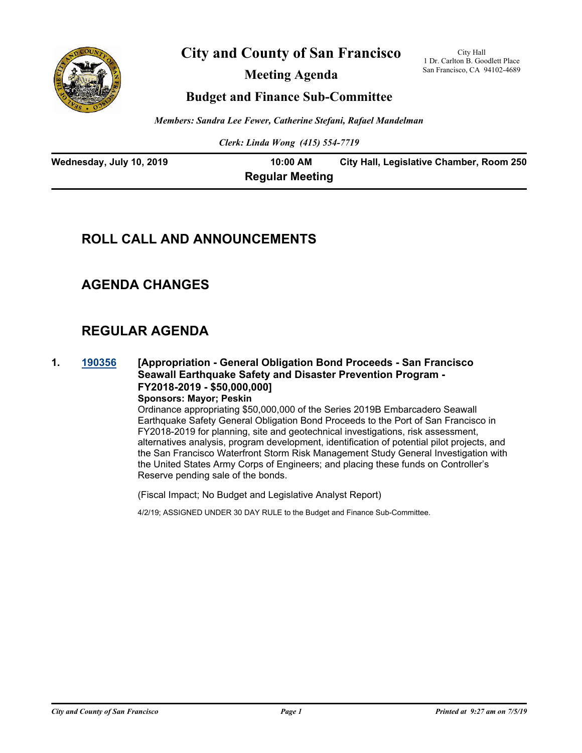

**City and County of San Francisco**

**Meeting Agenda**

City Hall 1 Dr. Carlton B. Goodlett Place San Francisco, CA 94102-4689

## **Budget and Finance Sub-Committee**

*Members: Sandra Lee Fewer, Catherine Stefani, Rafael Mandelman*

*Clerk: Linda Wong (415) 554-7719*

| Wednesday, July 10, 2019 | 10:00 AM               | City Hall, Legislative Chamber, Room 250 |
|--------------------------|------------------------|------------------------------------------|
|                          | <b>Regular Meeting</b> |                                          |

## **ROLL CALL AND ANNOUNCEMENTS**

## **AGENDA CHANGES**

## **REGULAR AGENDA**

**1. [190356](http://sfgov.legistar.com/gateway.aspx?m=l&id=34477) [Appropriation - General Obligation Bond Proceeds - San Francisco Seawall Earthquake Safety and Disaster Prevention Program - FY2018-2019 - \$50,000,000]**

**Sponsors: Mayor; Peskin**

Ordinance appropriating \$50,000,000 of the Series 2019B Embarcadero Seawall Earthquake Safety General Obligation Bond Proceeds to the Port of San Francisco in FY2018-2019 for planning, site and geotechnical investigations, risk assessment, alternatives analysis, program development, identification of potential pilot projects, and the San Francisco Waterfront Storm Risk Management Study General Investigation with the United States Army Corps of Engineers; and placing these funds on Controller's Reserve pending sale of the bonds.

(Fiscal Impact; No Budget and Legislative Analyst Report)

4/2/19; ASSIGNED UNDER 30 DAY RULE to the Budget and Finance Sub-Committee.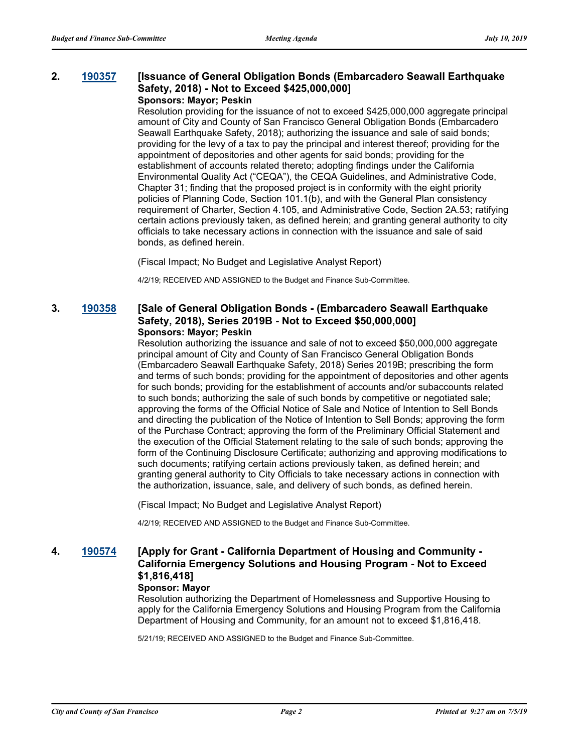#### **2. [190357](http://sfgov.legistar.com/gateway.aspx?m=l&id=34478) [Issuance of General Obligation Bonds (Embarcadero Seawall Earthquake Safety, 2018) - Not to Exceed \$425,000,000] Sponsors: Mayor; Peskin**

Resolution providing for the issuance of not to exceed \$425,000,000 aggregate principal amount of City and County of San Francisco General Obligation Bonds (Embarcadero Seawall Earthquake Safety, 2018); authorizing the issuance and sale of said bonds; providing for the levy of a tax to pay the principal and interest thereof; providing for the appointment of depositories and other agents for said bonds; providing for the establishment of accounts related thereto; adopting findings under the California Environmental Quality Act ("CEQA"), the CEQA Guidelines, and Administrative Code, Chapter 31; finding that the proposed project is in conformity with the eight priority policies of Planning Code, Section 101.1(b), and with the General Plan consistency requirement of Charter, Section 4.105, and Administrative Code, Section 2A.53; ratifying certain actions previously taken, as defined herein; and granting general authority to city officials to take necessary actions in connection with the issuance and sale of said bonds, as defined herein.

(Fiscal Impact; No Budget and Legislative Analyst Report)

4/2/19; RECEIVED AND ASSIGNED to the Budget and Finance Sub-Committee.

#### **3. [190358](http://sfgov.legistar.com/gateway.aspx?m=l&id=34479) [Sale of General Obligation Bonds - (Embarcadero Seawall Earthquake Safety, 2018), Series 2019B - Not to Exceed \$50,000,000] Sponsors: Mayor; Peskin**

Resolution authorizing the issuance and sale of not to exceed \$50,000,000 aggregate principal amount of City and County of San Francisco General Obligation Bonds (Embarcadero Seawall Earthquake Safety, 2018) Series 2019B; prescribing the form and terms of such bonds; providing for the appointment of depositories and other agents for such bonds; providing for the establishment of accounts and/or subaccounts related to such bonds; authorizing the sale of such bonds by competitive or negotiated sale; approving the forms of the Official Notice of Sale and Notice of Intention to Sell Bonds and directing the publication of the Notice of Intention to Sell Bonds; approving the form of the Purchase Contract; approving the form of the Preliminary Official Statement and the execution of the Official Statement relating to the sale of such bonds; approving the form of the Continuing Disclosure Certificate; authorizing and approving modifications to such documents; ratifying certain actions previously taken, as defined herein; and granting general authority to City Officials to take necessary actions in connection with the authorization, issuance, sale, and delivery of such bonds, as defined herein.

(Fiscal Impact; No Budget and Legislative Analyst Report)

4/2/19; RECEIVED AND ASSIGNED to the Budget and Finance Sub-Committee.

## **4. [190574](http://sfgov.legistar.com/gateway.aspx?m=l&id=34696) [Apply for Grant - California Department of Housing and Community - California Emergency Solutions and Housing Program - Not to Exceed \$1,816,418]**

#### **Sponsor: Mayor**

Resolution authorizing the Department of Homelessness and Supportive Housing to apply for the California Emergency Solutions and Housing Program from the California Department of Housing and Community, for an amount not to exceed \$1,816,418.

5/21/19; RECEIVED AND ASSIGNED to the Budget and Finance Sub-Committee.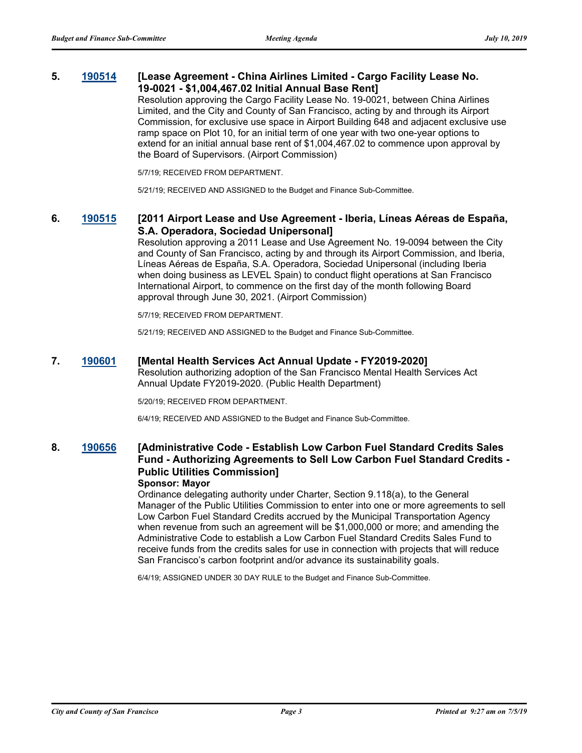#### **5. [190514](http://sfgov.legistar.com/gateway.aspx?m=l&id=34636) [Lease Agreement - China Airlines Limited - Cargo Facility Lease No. 19-0021 - \$1,004,467.02 Initial Annual Base Rent]**

Resolution approving the Cargo Facility Lease No. 19-0021, between China Airlines Limited, and the City and County of San Francisco, acting by and through its Airport Commission, for exclusive use space in Airport Building 648 and adjacent exclusive use ramp space on Plot 10, for an initial term of one year with two one-year options to extend for an initial annual base rent of \$1,004,467.02 to commence upon approval by the Board of Supervisors. (Airport Commission)

5/7/19; RECEIVED FROM DEPARTMENT.

5/21/19; RECEIVED AND ASSIGNED to the Budget and Finance Sub-Committee.

#### **6. [190515](http://sfgov.legistar.com/gateway.aspx?m=l&id=34637) [2011 Airport Lease and Use Agreement - Iberia, Líneas Aéreas de España, S.A. Operadora, Sociedad Unipersonal]**

Resolution approving a 2011 Lease and Use Agreement No. 19-0094 between the City and County of San Francisco, acting by and through its Airport Commission, and Iberia, Líneas Aéreas de España, S.A. Operadora, Sociedad Unipersonal (including Iberia when doing business as LEVEL Spain) to conduct flight operations at San Francisco International Airport, to commence on the first day of the month following Board approval through June 30, 2021. (Airport Commission)

5/7/19; RECEIVED FROM DEPARTMENT.

5/21/19; RECEIVED AND ASSIGNED to the Budget and Finance Sub-Committee.

#### **7. [190601](http://sfgov.legistar.com/gateway.aspx?m=l&id=34723) [Mental Health Services Act Annual Update - FY2019-2020]**

Resolution authorizing adoption of the San Francisco Mental Health Services Act Annual Update FY2019-2020. (Public Health Department)

5/20/19; RECEIVED FROM DEPARTMENT.

6/4/19; RECEIVED AND ASSIGNED to the Budget and Finance Sub-Committee.

## **8. [190656](http://sfgov.legistar.com/gateway.aspx?m=l&id=34778) [Administrative Code - Establish Low Carbon Fuel Standard Credits Sales Fund - Authorizing Agreements to Sell Low Carbon Fuel Standard Credits - Public Utilities Commission]**

#### **Sponsor: Mayor**

Ordinance delegating authority under Charter, Section 9.118(a), to the General Manager of the Public Utilities Commission to enter into one or more agreements to sell Low Carbon Fuel Standard Credits accrued by the Municipal Transportation Agency when revenue from such an agreement will be \$1,000,000 or more; and amending the Administrative Code to establish a Low Carbon Fuel Standard Credits Sales Fund to receive funds from the credits sales for use in connection with projects that will reduce San Francisco's carbon footprint and/or advance its sustainability goals.

6/4/19; ASSIGNED UNDER 30 DAY RULE to the Budget and Finance Sub-Committee.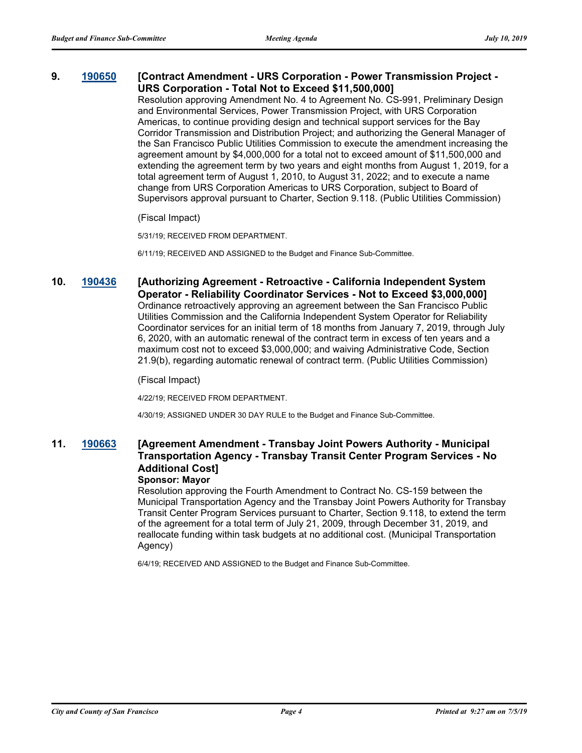#### **9. [190650](http://sfgov.legistar.com/gateway.aspx?m=l&id=34772) [Contract Amendment - URS Corporation - Power Transmission Project - URS Corporation - Total Not to Exceed \$11,500,000]**

Resolution approving Amendment No. 4 to Agreement No. CS-991, Preliminary Design and Environmental Services, Power Transmission Project, with URS Corporation Americas, to continue providing design and technical support services for the Bay Corridor Transmission and Distribution Project; and authorizing the General Manager of the San Francisco Public Utilities Commission to execute the amendment increasing the agreement amount by \$4,000,000 for a total not to exceed amount of \$11,500,000 and extending the agreement term by two years and eight months from August 1, 2019, for a total agreement term of August 1, 2010, to August 31, 2022; and to execute a name change from URS Corporation Americas to URS Corporation, subject to Board of Supervisors approval pursuant to Charter, Section 9.118. (Public Utilities Commission)

(Fiscal Impact)

5/31/19; RECEIVED FROM DEPARTMENT.

6/11/19; RECEIVED AND ASSIGNED to the Budget and Finance Sub-Committee.

**10. [190436](http://sfgov.legistar.com/gateway.aspx?m=l&id=34557) [Authorizing Agreement - Retroactive - California Independent System Operator - Reliability Coordinator Services - Not to Exceed \$3,000,000]** Ordinance retroactively approving an agreement between the San Francisco Public Utilities Commission and the California Independent System Operator for Reliability Coordinator services for an initial term of 18 months from January 7, 2019, through July 6, 2020, with an automatic renewal of the contract term in excess of ten years and a maximum cost not to exceed \$3,000,000; and waiving Administrative Code, Section 21.9(b), regarding automatic renewal of contract term. (Public Utilities Commission)

(Fiscal Impact)

4/22/19; RECEIVED FROM DEPARTMENT.

4/30/19; ASSIGNED UNDER 30 DAY RULE to the Budget and Finance Sub-Committee.

## **11. [190663](http://sfgov.legistar.com/gateway.aspx?m=l&id=34785) [Agreement Amendment - Transbay Joint Powers Authority - Municipal Transportation Agency - Transbay Transit Center Program Services - No Additional Cost]**

#### **Sponsor: Mayor**

Resolution approving the Fourth Amendment to Contract No. CS-159 between the Municipal Transportation Agency and the Transbay Joint Powers Authority for Transbay Transit Center Program Services pursuant to Charter, Section 9.118, to extend the term of the agreement for a total term of July 21, 2009, through December 31, 2019, and reallocate funding within task budgets at no additional cost. (Municipal Transportation Agency)

6/4/19; RECEIVED AND ASSIGNED to the Budget and Finance Sub-Committee.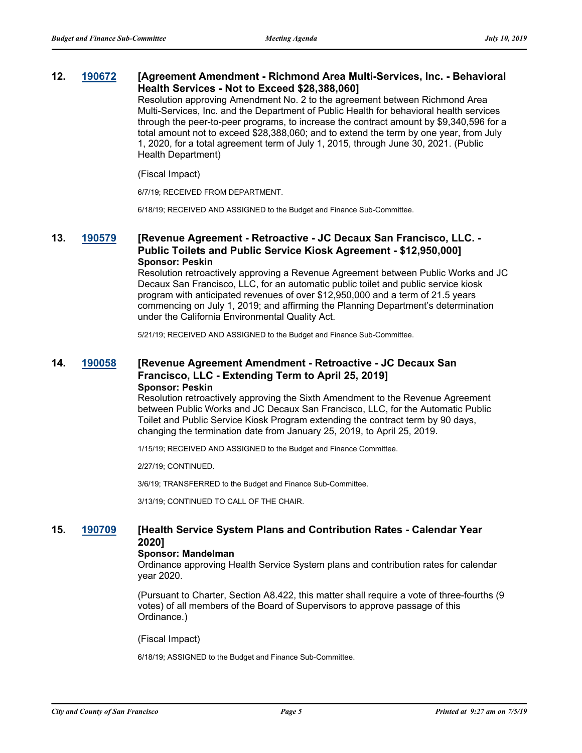#### **12. [190672](http://sfgov.legistar.com/gateway.aspx?m=l&id=34794) [Agreement Amendment - Richmond Area Multi-Services, Inc. - Behavioral Health Services - Not to Exceed \$28,388,060]**

Resolution approving Amendment No. 2 to the agreement between Richmond Area Multi-Services, Inc. and the Department of Public Health for behavioral health services through the peer-to-peer programs, to increase the contract amount by \$9,340,596 for a total amount not to exceed \$28,388,060; and to extend the term by one year, from July 1, 2020, for a total agreement term of July 1, 2015, through June 30, 2021. (Public Health Department)

#### (Fiscal Impact)

6/7/19; RECEIVED FROM DEPARTMENT.

6/18/19; RECEIVED AND ASSIGNED to the Budget and Finance Sub-Committee.

#### **13. [190579](http://sfgov.legistar.com/gateway.aspx?m=l&id=34701) [Revenue Agreement - Retroactive - JC Decaux San Francisco, LLC. - Public Toilets and Public Service Kiosk Agreement - \$12,950,000] Sponsor: Peskin**

Resolution retroactively approving a Revenue Agreement between Public Works and JC Decaux San Francisco, LLC, for an automatic public toilet and public service kiosk program with anticipated revenues of over \$12,950,000 and a term of 21.5 years commencing on July 1, 2019; and affirming the Planning Department's determination under the California Environmental Quality Act.

5/21/19; RECEIVED AND ASSIGNED to the Budget and Finance Sub-Committee.

#### **14. [190058](http://sfgov.legistar.com/gateway.aspx?m=l&id=34179) [Revenue Agreement Amendment - Retroactive - JC Decaux San Francisco, LLC - Extending Term to April 25, 2019] Sponsor: Peskin**

Resolution retroactively approving the Sixth Amendment to the Revenue Agreement between Public Works and JC Decaux San Francisco, LLC, for the Automatic Public Toilet and Public Service Kiosk Program extending the contract term by 90 days, changing the termination date from January 25, 2019, to April 25, 2019.

1/15/19; RECEIVED AND ASSIGNED to the Budget and Finance Committee.

2/27/19; CONTINUED.

3/6/19; TRANSFERRED to the Budget and Finance Sub-Committee.

3/13/19; CONTINUED TO CALL OF THE CHAIR.

#### **15. [190709](http://sfgov.legistar.com/gateway.aspx?m=l&id=34831) [Health Service System Plans and Contribution Rates - Calendar Year 2020]**

#### **Sponsor: Mandelman**

Ordinance approving Health Service System plans and contribution rates for calendar year 2020.

(Pursuant to Charter, Section A8.422, this matter shall require a vote of three-fourths (9 votes) of all members of the Board of Supervisors to approve passage of this Ordinance.)

(Fiscal Impact)

6/18/19; ASSIGNED to the Budget and Finance Sub-Committee.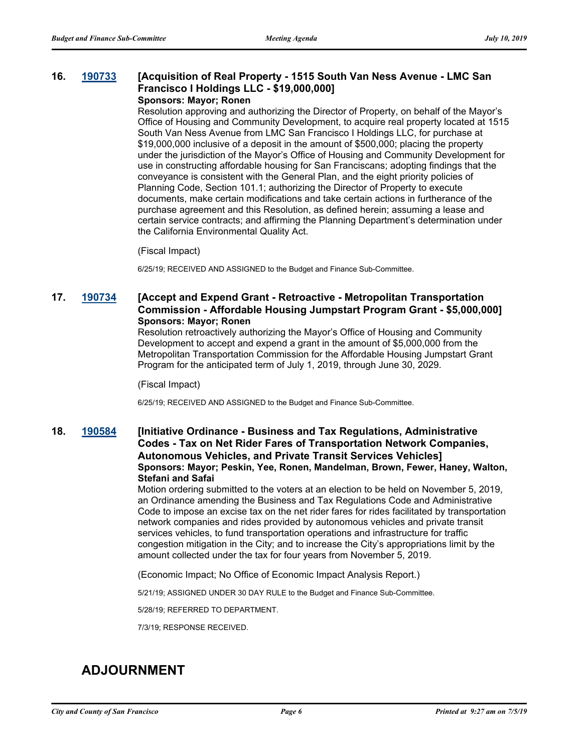#### **16. [190733](http://sfgov.legistar.com/gateway.aspx?m=l&id=34855) [Acquisition of Real Property - 1515 South Van Ness Avenue - LMC San Francisco I Holdings LLC - \$19,000,000] Sponsors: Mayor; Ronen**

Resolution approving and authorizing the Director of Property, on behalf of the Mayor's Office of Housing and Community Development, to acquire real property located at 1515 South Van Ness Avenue from LMC San Francisco I Holdings LLC, for purchase at \$19,000,000 inclusive of a deposit in the amount of \$500,000; placing the property under the jurisdiction of the Mayor's Office of Housing and Community Development for use in constructing affordable housing for San Franciscans; adopting findings that the conveyance is consistent with the General Plan, and the eight priority policies of Planning Code, Section 101.1; authorizing the Director of Property to execute documents, make certain modifications and take certain actions in furtherance of the purchase agreement and this Resolution, as defined herein; assuming a lease and certain service contracts; and affirming the Planning Department's determination under the California Environmental Quality Act.

#### (Fiscal Impact)

6/25/19; RECEIVED AND ASSIGNED to the Budget and Finance Sub-Committee.

### **17. [190734](http://sfgov.legistar.com/gateway.aspx?m=l&id=34856) [Accept and Expend Grant - Retroactive - Metropolitan Transportation Commission - Affordable Housing Jumpstart Program Grant - \$5,000,000] Sponsors: Mayor; Ronen**

Resolution retroactively authorizing the Mayor's Office of Housing and Community Development to accept and expend a grant in the amount of \$5,000,000 from the Metropolitan Transportation Commission for the Affordable Housing Jumpstart Grant Program for the anticipated term of July 1, 2019, through June 30, 2029.

(Fiscal Impact)

6/25/19; RECEIVED AND ASSIGNED to the Budget and Finance Sub-Committee.

#### **18. [190584](http://sfgov.legistar.com/gateway.aspx?m=l&id=34706) [Initiative Ordinance - Business and Tax Regulations, Administrative Codes - Tax on Net Rider Fares of Transportation Network Companies, Autonomous Vehicles, and Private Transit Services Vehicles] Sponsors: Mayor; Peskin, Yee, Ronen, Mandelman, Brown, Fewer, Haney, Walton, Stefani and Safai**

Motion ordering submitted to the voters at an election to be held on November 5, 2019, an Ordinance amending the Business and Tax Regulations Code and Administrative Code to impose an excise tax on the net rider fares for rides facilitated by transportation network companies and rides provided by autonomous vehicles and private transit services vehicles, to fund transportation operations and infrastructure for traffic congestion mitigation in the City; and to increase the City's appropriations limit by the amount collected under the tax for four years from November 5, 2019.

(Economic Impact; No Office of Economic Impact Analysis Report.)

5/21/19; ASSIGNED UNDER 30 DAY RULE to the Budget and Finance Sub-Committee.

5/28/19; REFERRED TO DEPARTMENT.

7/3/19; RESPONSE RECEIVED.

## **ADJOURNMENT**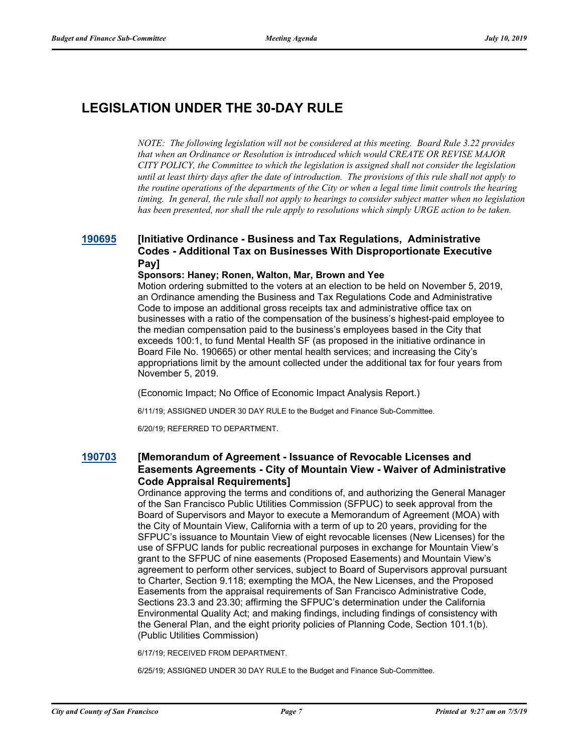# **LEGISLATION UNDER THE 30-DAY RULE**

*NOTE: The following legislation will not be considered at this meeting. Board Rule 3.22 provides that when an Ordinance or Resolution is introduced which would CREATE OR REVISE MAJOR CITY POLICY, the Committee to which the legislation is assigned shall not consider the legislation until at least thirty days after the date of introduction. The provisions of this rule shall not apply to the routine operations of the departments of the City or when a legal time limit controls the hearing timing. In general, the rule shall not apply to hearings to consider subject matter when no legislation has been presented, nor shall the rule apply to resolutions which simply URGE action to be taken.*

#### **[190695](http://sfgov.legistar.com/gateway.aspx?m=l&id=34817) [Initiative Ordinance - Business and Tax Regulations, Administrative Codes - Additional Tax on Businesses With Disproportionate Executive Pay]**

#### **Sponsors: Haney; Ronen, Walton, Mar, Brown and Yee**

Motion ordering submitted to the voters at an election to be held on November 5, 2019, an Ordinance amending the Business and Tax Regulations Code and Administrative Code to impose an additional gross receipts tax and administrative office tax on businesses with a ratio of the compensation of the business's highest-paid employee to the median compensation paid to the business's employees based in the City that exceeds 100:1, to fund Mental Health SF (as proposed in the initiative ordinance in Board File No. 190665) or other mental health services; and increasing the City's appropriations limit by the amount collected under the additional tax for four years from November 5, 2019.

(Economic Impact; No Office of Economic Impact Analysis Report.)

6/11/19; ASSIGNED UNDER 30 DAY RULE to the Budget and Finance Sub-Committee.

6/20/19; REFERRED TO DEPARTMENT.

#### **[190703](http://sfgov.legistar.com/gateway.aspx?m=l&id=34825) [Memorandum of Agreement - Issuance of Revocable Licenses and Easements Agreements - City of Mountain View - Waiver of Administrative Code Appraisal Requirements]**

Ordinance approving the terms and conditions of, and authorizing the General Manager of the San Francisco Public Utilities Commission (SFPUC) to seek approval from the Board of Supervisors and Mayor to execute a Memorandum of Agreement (MOA) with the City of Mountain View, California with a term of up to 20 years, providing for the SFPUC's issuance to Mountain View of eight revocable licenses (New Licenses) for the use of SFPUC lands for public recreational purposes in exchange for Mountain View's grant to the SFPUC of nine easements (Proposed Easements) and Mountain View's agreement to perform other services, subject to Board of Supervisors approval pursuant to Charter, Section 9.118; exempting the MOA, the New Licenses, and the Proposed Easements from the appraisal requirements of San Francisco Administrative Code, Sections 23.3 and 23.30; affirming the SFPUC's determination under the California Environmental Quality Act; and making findings, including findings of consistency with the General Plan, and the eight priority policies of Planning Code, Section 101.1(b). (Public Utilities Commission)

6/17/19; RECEIVED FROM DEPARTMENT.

6/25/19; ASSIGNED UNDER 30 DAY RULE to the Budget and Finance Sub-Committee.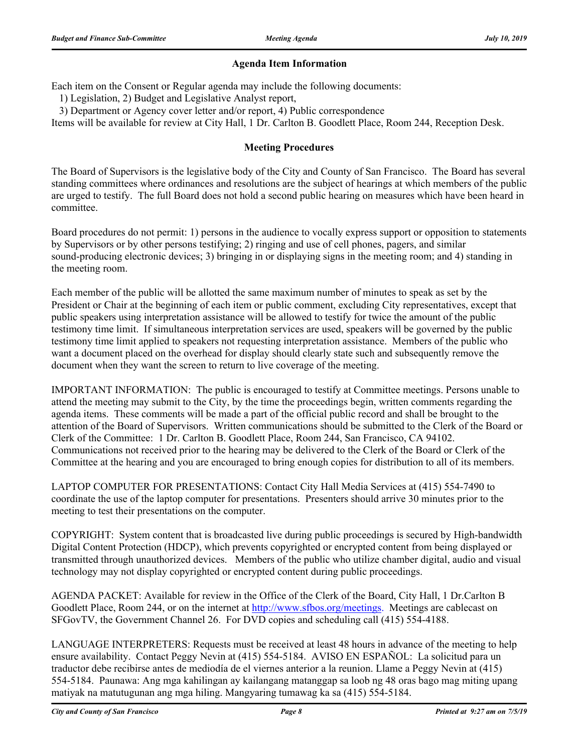#### **Agenda Item Information**

Each item on the Consent or Regular agenda may include the following documents:

1) Legislation, 2) Budget and Legislative Analyst report,

3) Department or Agency cover letter and/or report, 4) Public correspondence

Items will be available for review at City Hall, 1 Dr. Carlton B. Goodlett Place, Room 244, Reception Desk.

#### **Meeting Procedures**

The Board of Supervisors is the legislative body of the City and County of San Francisco. The Board has several standing committees where ordinances and resolutions are the subject of hearings at which members of the public are urged to testify. The full Board does not hold a second public hearing on measures which have been heard in committee.

Board procedures do not permit: 1) persons in the audience to vocally express support or opposition to statements by Supervisors or by other persons testifying; 2) ringing and use of cell phones, pagers, and similar sound-producing electronic devices; 3) bringing in or displaying signs in the meeting room; and 4) standing in the meeting room.

Each member of the public will be allotted the same maximum number of minutes to speak as set by the President or Chair at the beginning of each item or public comment, excluding City representatives, except that public speakers using interpretation assistance will be allowed to testify for twice the amount of the public testimony time limit. If simultaneous interpretation services are used, speakers will be governed by the public testimony time limit applied to speakers not requesting interpretation assistance. Members of the public who want a document placed on the overhead for display should clearly state such and subsequently remove the document when they want the screen to return to live coverage of the meeting.

IMPORTANT INFORMATION: The public is encouraged to testify at Committee meetings. Persons unable to attend the meeting may submit to the City, by the time the proceedings begin, written comments regarding the agenda items. These comments will be made a part of the official public record and shall be brought to the attention of the Board of Supervisors. Written communications should be submitted to the Clerk of the Board or Clerk of the Committee: 1 Dr. Carlton B. Goodlett Place, Room 244, San Francisco, CA 94102. Communications not received prior to the hearing may be delivered to the Clerk of the Board or Clerk of the Committee at the hearing and you are encouraged to bring enough copies for distribution to all of its members.

LAPTOP COMPUTER FOR PRESENTATIONS: Contact City Hall Media Services at (415) 554-7490 to coordinate the use of the laptop computer for presentations. Presenters should arrive 30 minutes prior to the meeting to test their presentations on the computer.

COPYRIGHT: System content that is broadcasted live during public proceedings is secured by High-bandwidth Digital Content Protection (HDCP), which prevents copyrighted or encrypted content from being displayed or transmitted through unauthorized devices. Members of the public who utilize chamber digital, audio and visual technology may not display copyrighted or encrypted content during public proceedings.

AGENDA PACKET: Available for review in the Office of the Clerk of the Board, City Hall, 1 Dr.Carlton B Goodlett Place, Room 244, or on the internet at http://www.sfbos.org/meetings. Meetings are cablecast on SFGovTV, the Government Channel 26. For DVD copies and scheduling call (415) 554-4188.

LANGUAGE INTERPRETERS: Requests must be received at least 48 hours in advance of the meeting to help ensure availability. Contact Peggy Nevin at (415) 554-5184. AVISO EN ESPAÑOL: La solicitud para un traductor debe recibirse antes de mediodía de el viernes anterior a la reunion. Llame a Peggy Nevin at (415) 554-5184. Paunawa: Ang mga kahilingan ay kailangang matanggap sa loob ng 48 oras bago mag miting upang matiyak na matutugunan ang mga hiling. Mangyaring tumawag ka sa (415) 554-5184.